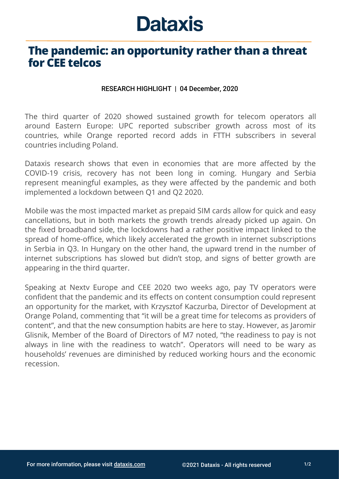## **Dataxis**

## **The pandemic: an opportunity rather than a threat for CEE telcos**

## RESEARCH HIGHLIGHT | 04 December, 2020

The third quarter of 2020 showed sustained growth for telecom operators all around Eastern Europe: UPC reported subscriber growth across most of its countries, while Orange reported record adds in FTTH subscribers in several countries including Poland.

Dataxis research shows that even in economies that are more affected by the COVID-19 crisis, recovery has not been long in coming. Hungary and Serbia represent meaningful examples, as they were affected by the pandemic and both implemented a lockdown between Q1 and Q2 2020.

Mobile was the most impacted market as prepaid SIM cards allow for quick and easy cancellations, but in both markets the growth trends already picked up again. On the fixed broadband side, the lockdowns had a rather positive impact linked to the spread of home-office, which likely accelerated the growth in internet subscriptions in Serbia in Q3. In Hungary on the other hand, the upward trend in the number of internet subscriptions has slowed but didn't stop, and signs of better growth are appearing in the third quarter.

Speaking at Nextv Europe and CEE 2020 two weeks ago, pay TV operators were confident that the pandemic and its effects on content consumption could represent an opportunity for the market, with Krzysztof Kaczurba, Director of Development at Orange Poland, commenting that "it will be a great time for telecoms as providers of content", and that the new consumption habits are here to stay. However, as Jaromir Glisnik, Member of the Board of Directors of M7 noted, "the readiness to pay is not always in line with the readiness to watch". Operators will need to be wary as households' revenues are diminished by reduced working hours and the economic recession.